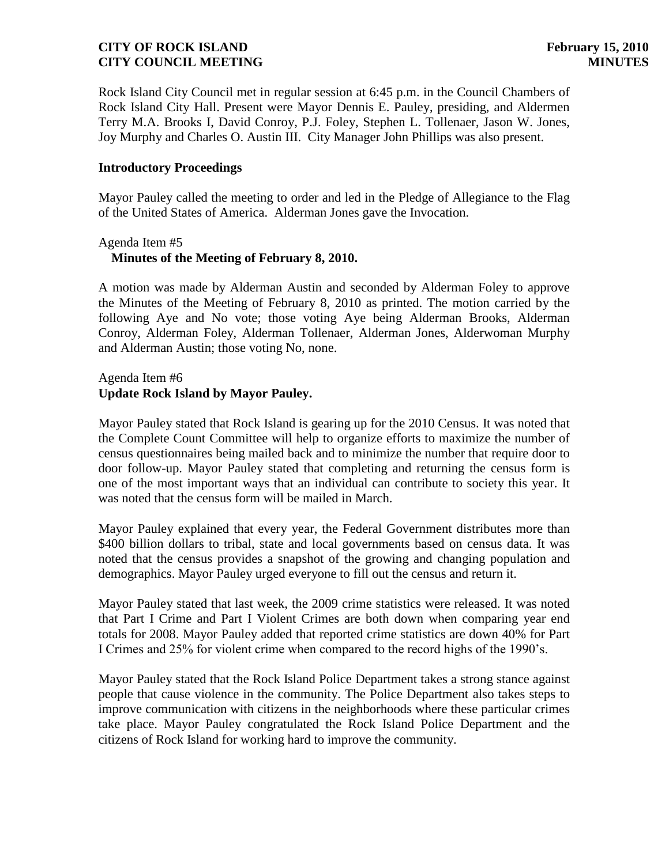Rock Island City Council met in regular session at 6:45 p.m. in the Council Chambers of Rock Island City Hall. Present were Mayor Dennis E. Pauley, presiding, and Aldermen Terry M.A. Brooks I, David Conroy, P.J. Foley, Stephen L. Tollenaer, Jason W. Jones, Joy Murphy and Charles O. Austin III. City Manager John Phillips was also present.

#### **Introductory Proceedings**

Mayor Pauley called the meeting to order and led in the Pledge of Allegiance to the Flag of the United States of America. Alderman Jones gave the Invocation.

# Agenda Item #5  **Minutes of the Meeting of February 8, 2010.**

A motion was made by Alderman Austin and seconded by Alderman Foley to approve the Minutes of the Meeting of February 8, 2010 as printed. The motion carried by the following Aye and No vote; those voting Aye being Alderman Brooks, Alderman Conroy, Alderman Foley, Alderman Tollenaer, Alderman Jones, Alderwoman Murphy and Alderman Austin; those voting No, none.

# Agenda Item #6 **Update Rock Island by Mayor Pauley.**

Mayor Pauley stated that Rock Island is gearing up for the 2010 Census. It was noted that the Complete Count Committee will help to organize efforts to maximize the number of census questionnaires being mailed back and to minimize the number that require door to door follow-up. Mayor Pauley stated that completing and returning the census form is one of the most important ways that an individual can contribute to society this year. It was noted that the census form will be mailed in March.

Mayor Pauley explained that every year, the Federal Government distributes more than \$400 billion dollars to tribal, state and local governments based on census data. It was noted that the census provides a snapshot of the growing and changing population and demographics. Mayor Pauley urged everyone to fill out the census and return it.

Mayor Pauley stated that last week, the 2009 crime statistics were released. It was noted that Part I Crime and Part I Violent Crimes are both down when comparing year end totals for 2008. Mayor Pauley added that reported crime statistics are down 40% for Part I Crimes and 25% for violent crime when compared to the record highs of the 1990's.

Mayor Pauley stated that the Rock Island Police Department takes a strong stance against people that cause violence in the community. The Police Department also takes steps to improve communication with citizens in the neighborhoods where these particular crimes take place. Mayor Pauley congratulated the Rock Island Police Department and the citizens of Rock Island for working hard to improve the community.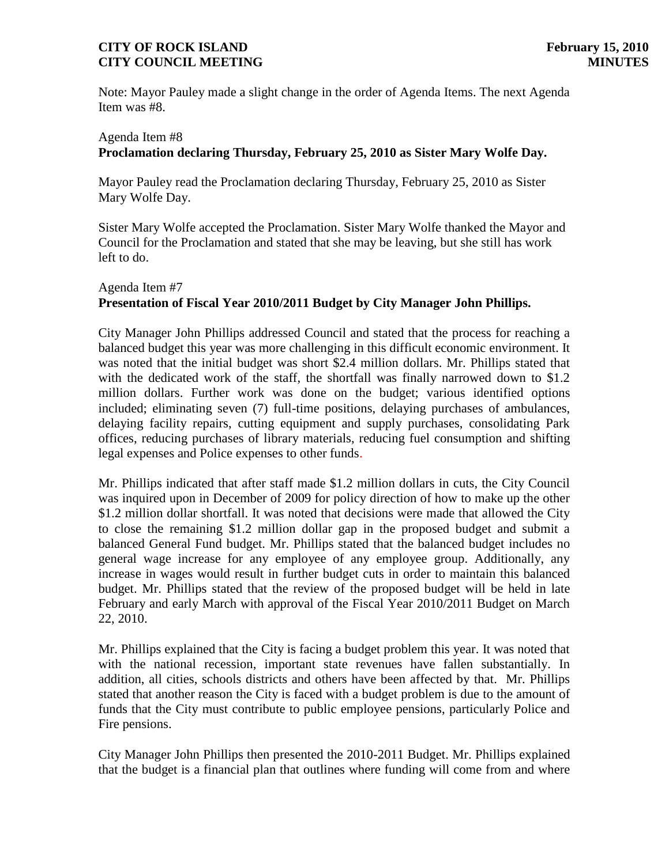Note: Mayor Pauley made a slight change in the order of Agenda Items. The next Agenda Item was #8.

# Agenda Item #8 **Proclamation declaring Thursday, February 25, 2010 as Sister Mary Wolfe Day.**

Mayor Pauley read the Proclamation declaring Thursday, February 25, 2010 as Sister Mary Wolfe Day.

Sister Mary Wolfe accepted the Proclamation. Sister Mary Wolfe thanked the Mayor and Council for the Proclamation and stated that she may be leaving, but she still has work left to do.

#### Agenda Item #7 **Presentation of Fiscal Year 2010/2011 Budget by City Manager John Phillips.**

City Manager John Phillips addressed Council and stated that the process for reaching a balanced budget this year was more challenging in this difficult economic environment. It was noted that the initial budget was short \$2.4 million dollars. Mr. Phillips stated that with the dedicated work of the staff, the shortfall was finally narrowed down to \$1.2 million dollars. Further work was done on the budget; various identified options included; eliminating seven (7) full-time positions, delaying purchases of ambulances, delaying facility repairs, cutting equipment and supply purchases, consolidating Park offices, reducing purchases of library materials, reducing fuel consumption and shifting legal expenses and Police expenses to other funds.

Mr. Phillips indicated that after staff made \$1.2 million dollars in cuts, the City Council was inquired upon in December of 2009 for policy direction of how to make up the other \$1.2 million dollar shortfall. It was noted that decisions were made that allowed the City to close the remaining \$1.2 million dollar gap in the proposed budget and submit a balanced General Fund budget. Mr. Phillips stated that the balanced budget includes no general wage increase for any employee of any employee group. Additionally, any increase in wages would result in further budget cuts in order to maintain this balanced budget. Mr. Phillips stated that the review of the proposed budget will be held in late February and early March with approval of the Fiscal Year 2010/2011 Budget on March 22, 2010.

Mr. Phillips explained that the City is facing a budget problem this year. It was noted that with the national recession, important state revenues have fallen substantially. In addition, all cities, schools districts and others have been affected by that. Mr. Phillips stated that another reason the City is faced with a budget problem is due to the amount of funds that the City must contribute to public employee pensions, particularly Police and Fire pensions.

City Manager John Phillips then presented the 2010-2011 Budget. Mr. Phillips explained that the budget is a financial plan that outlines where funding will come from and where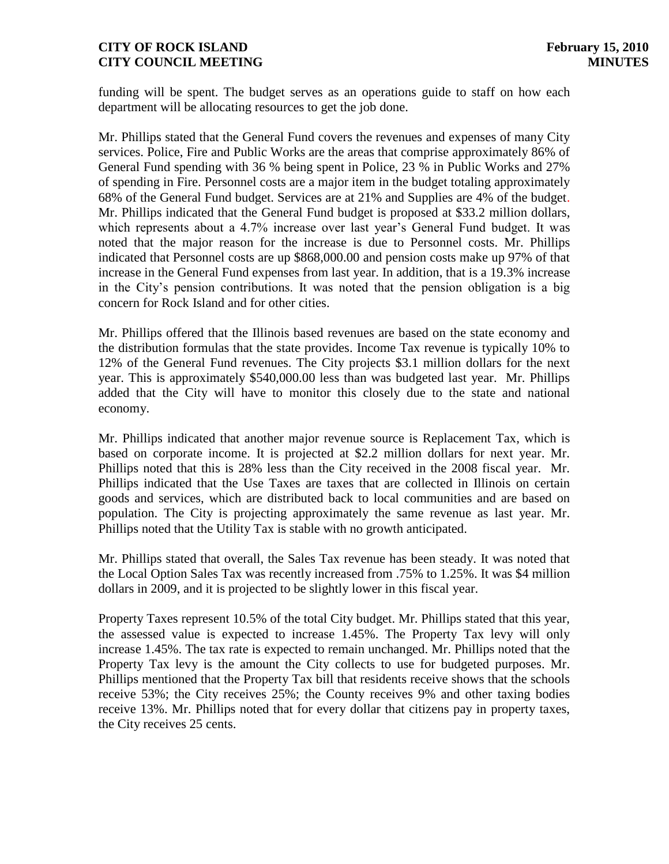funding will be spent. The budget serves as an operations guide to staff on how each department will be allocating resources to get the job done.

Mr. Phillips stated that the General Fund covers the revenues and expenses of many City services. Police, Fire and Public Works are the areas that comprise approximately 86% of General Fund spending with 36 % being spent in Police, 23 % in Public Works and 27% of spending in Fire. Personnel costs are a major item in the budget totaling approximately 68% of the General Fund budget. Services are at 21% and Supplies are 4% of the budget. Mr. Phillips indicated that the General Fund budget is proposed at \$33.2 million dollars, which represents about a 4.7% increase over last year's General Fund budget. It was noted that the major reason for the increase is due to Personnel costs. Mr. Phillips indicated that Personnel costs are up \$868,000.00 and pension costs make up 97% of that increase in the General Fund expenses from last year. In addition, that is a 19.3% increase in the City's pension contributions. It was noted that the pension obligation is a big concern for Rock Island and for other cities.

Mr. Phillips offered that the Illinois based revenues are based on the state economy and the distribution formulas that the state provides. Income Tax revenue is typically 10% to 12% of the General Fund revenues. The City projects \$3.1 million dollars for the next year. This is approximately \$540,000.00 less than was budgeted last year. Mr. Phillips added that the City will have to monitor this closely due to the state and national economy.

Mr. Phillips indicated that another major revenue source is Replacement Tax, which is based on corporate income. It is projected at \$2.2 million dollars for next year. Mr. Phillips noted that this is 28% less than the City received in the 2008 fiscal year. Mr. Phillips indicated that the Use Taxes are taxes that are collected in Illinois on certain goods and services, which are distributed back to local communities and are based on population. The City is projecting approximately the same revenue as last year. Mr. Phillips noted that the Utility Tax is stable with no growth anticipated.

Mr. Phillips stated that overall, the Sales Tax revenue has been steady. It was noted that the Local Option Sales Tax was recently increased from .75% to 1.25%. It was \$4 million dollars in 2009, and it is projected to be slightly lower in this fiscal year.

Property Taxes represent 10.5% of the total City budget. Mr. Phillips stated that this year, the assessed value is expected to increase 1.45%. The Property Tax levy will only increase 1.45%. The tax rate is expected to remain unchanged. Mr. Phillips noted that the Property Tax levy is the amount the City collects to use for budgeted purposes. Mr. Phillips mentioned that the Property Tax bill that residents receive shows that the schools receive 53%; the City receives 25%; the County receives 9% and other taxing bodies receive 13%. Mr. Phillips noted that for every dollar that citizens pay in property taxes, the City receives 25 cents.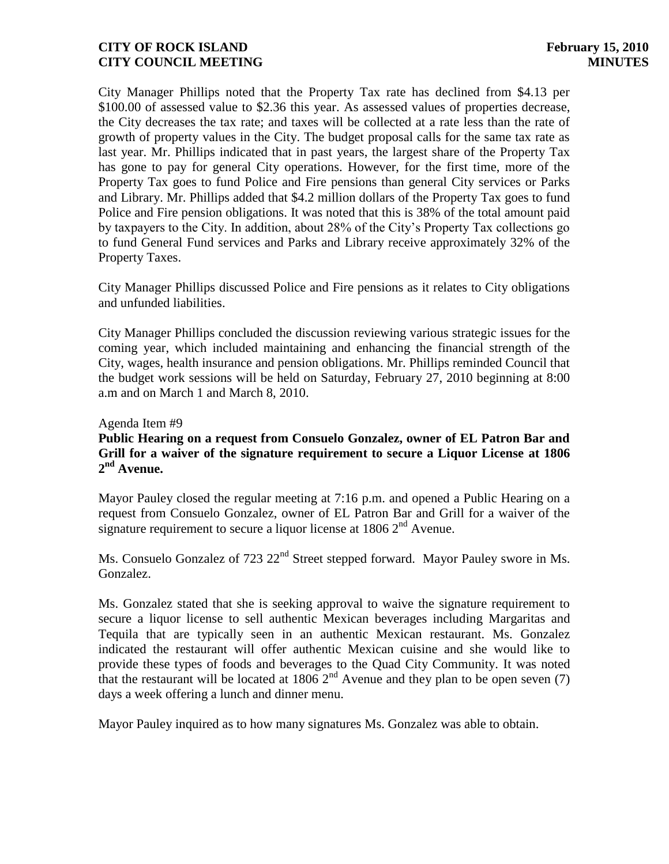City Manager Phillips noted that the Property Tax rate has declined from \$4.13 per \$100.00 of assessed value to \$2.36 this year. As assessed values of properties decrease, the City decreases the tax rate; and taxes will be collected at a rate less than the rate of growth of property values in the City. The budget proposal calls for the same tax rate as last year. Mr. Phillips indicated that in past years, the largest share of the Property Tax has gone to pay for general City operations. However, for the first time, more of the Property Tax goes to fund Police and Fire pensions than general City services or Parks and Library. Mr. Phillips added that \$4.2 million dollars of the Property Tax goes to fund Police and Fire pension obligations. It was noted that this is 38% of the total amount paid by taxpayers to the City. In addition, about 28% of the City's Property Tax collections go to fund General Fund services and Parks and Library receive approximately 32% of the Property Taxes.

City Manager Phillips discussed Police and Fire pensions as it relates to City obligations and unfunded liabilities.

City Manager Phillips concluded the discussion reviewing various strategic issues for the coming year, which included maintaining and enhancing the financial strength of the City, wages, health insurance and pension obligations. Mr. Phillips reminded Council that the budget work sessions will be held on Saturday, February 27, 2010 beginning at 8:00 a.m and on March 1 and March 8, 2010.

#### Agenda Item #9

# **Public Hearing on a request from Consuelo Gonzalez, owner of EL Patron Bar and Grill for a waiver of the signature requirement to secure a Liquor License at 1806 2 nd Avenue.**

Mayor Pauley closed the regular meeting at 7:16 p.m. and opened a Public Hearing on a request from Consuelo Gonzalez, owner of EL Patron Bar and Grill for a waiver of the signature requirement to secure a liquor license at  $1806 \, 2^{nd}$  Avenue.

Ms. Consuelo Gonzalez of 723 22<sup>nd</sup> Street stepped forward. Mayor Pauley swore in Ms. Gonzalez.

Ms. Gonzalez stated that she is seeking approval to waive the signature requirement to secure a liquor license to sell authentic Mexican beverages including Margaritas and Tequila that are typically seen in an authentic Mexican restaurant. Ms. Gonzalez indicated the restaurant will offer authentic Mexican cuisine and she would like to provide these types of foods and beverages to the Quad City Community. It was noted that the restaurant will be located at 1806  $2<sup>nd</sup>$  Avenue and they plan to be open seven (7) days a week offering a lunch and dinner menu.

Mayor Pauley inquired as to how many signatures Ms. Gonzalez was able to obtain.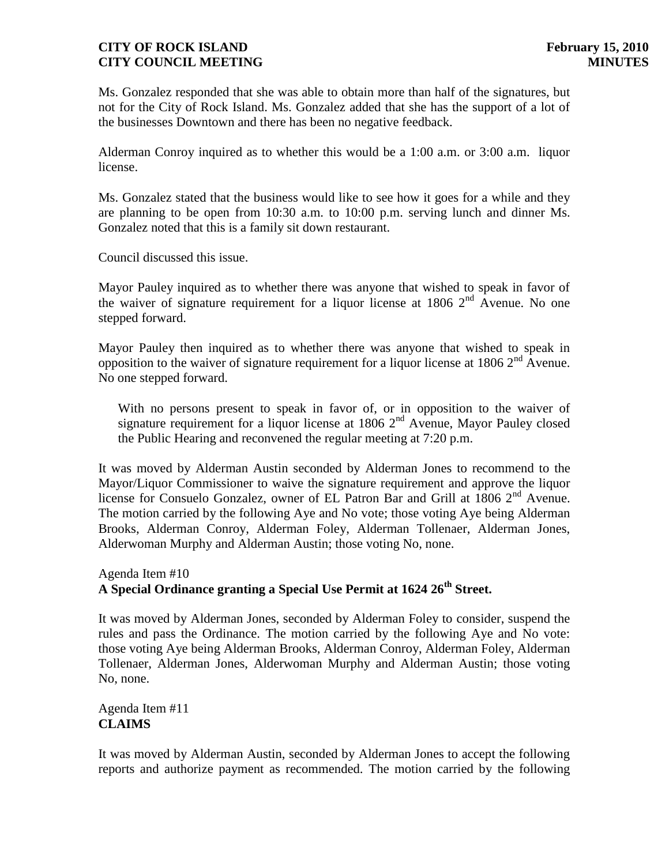Ms. Gonzalez responded that she was able to obtain more than half of the signatures, but not for the City of Rock Island. Ms. Gonzalez added that she has the support of a lot of the businesses Downtown and there has been no negative feedback.

Alderman Conroy inquired as to whether this would be a 1:00 a.m. or 3:00 a.m. liquor license.

Ms. Gonzalez stated that the business would like to see how it goes for a while and they are planning to be open from 10:30 a.m. to 10:00 p.m. serving lunch and dinner Ms. Gonzalez noted that this is a family sit down restaurant.

Council discussed this issue.

Mayor Pauley inquired as to whether there was anyone that wished to speak in favor of the waiver of signature requirement for a liquor license at  $1806 \, 2^{nd}$  Avenue. No one stepped forward.

Mayor Pauley then inquired as to whether there was anyone that wished to speak in opposition to the waiver of signature requirement for a liquor license at  $1806 \, 2^{nd}$  Avenue. No one stepped forward.

 With no persons present to speak in favor of, or in opposition to the waiver of signature requirement for a liquor license at  $1806$   $2<sup>nd</sup>$  Avenue, Mayor Pauley closed the Public Hearing and reconvened the regular meeting at 7:20 p.m.

It was moved by Alderman Austin seconded by Alderman Jones to recommend to the Mayor/Liquor Commissioner to waive the signature requirement and approve the liquor license for Consuelo Gonzalez, owner of EL Patron Bar and Grill at  $1806 \, 2^{nd}$  Avenue. The motion carried by the following Aye and No vote; those voting Aye being Alderman Brooks, Alderman Conroy, Alderman Foley, Alderman Tollenaer, Alderman Jones, Alderwoman Murphy and Alderman Austin; those voting No, none.

# Agenda Item #10 **A Special Ordinance granting a Special Use Permit at 1624 26th Street.**

It was moved by Alderman Jones, seconded by Alderman Foley to consider, suspend the rules and pass the Ordinance. The motion carried by the following Aye and No vote: those voting Aye being Alderman Brooks, Alderman Conroy, Alderman Foley, Alderman Tollenaer, Alderman Jones, Alderwoman Murphy and Alderman Austin; those voting No, none.

Agenda Item #11 **CLAIMS**

It was moved by Alderman Austin, seconded by Alderman Jones to accept the following reports and authorize payment as recommended. The motion carried by the following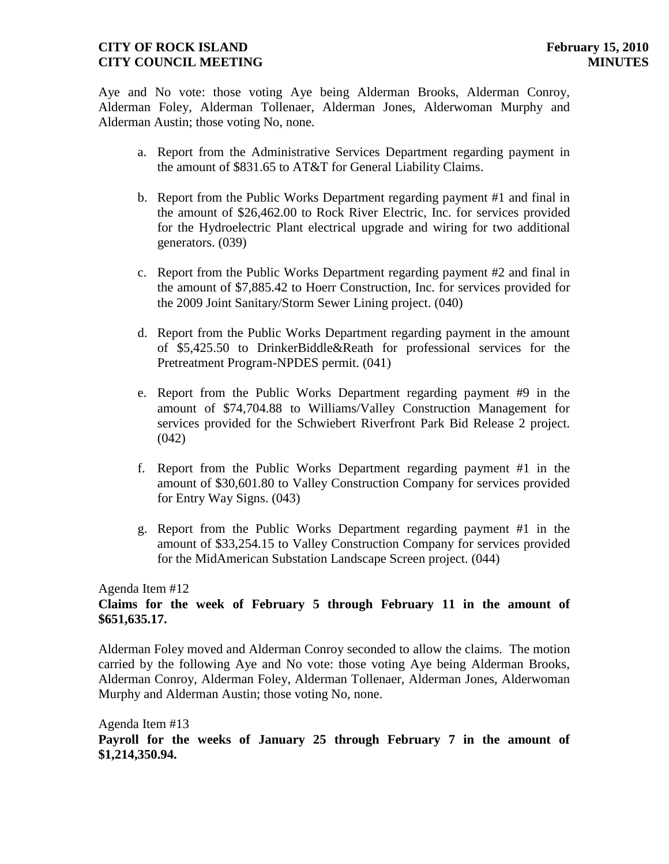Aye and No vote: those voting Aye being Alderman Brooks, Alderman Conroy, Alderman Foley, Alderman Tollenaer, Alderman Jones, Alderwoman Murphy and Alderman Austin; those voting No, none.

- a. Report from the Administrative Services Department regarding payment in the amount of \$831.65 to AT&T for General Liability Claims.
- b. Report from the Public Works Department regarding payment #1 and final in the amount of \$26,462.00 to Rock River Electric, Inc. for services provided for the Hydroelectric Plant electrical upgrade and wiring for two additional generators. (039)
- c. Report from the Public Works Department regarding payment #2 and final in the amount of \$7,885.42 to Hoerr Construction, Inc. for services provided for the 2009 Joint Sanitary/Storm Sewer Lining project. (040)
- d. Report from the Public Works Department regarding payment in the amount of \$5,425.50 to DrinkerBiddle&Reath for professional services for the Pretreatment Program-NPDES permit. (041)
- e. Report from the Public Works Department regarding payment #9 in the amount of \$74,704.88 to Williams/Valley Construction Management for services provided for the Schwiebert Riverfront Park Bid Release 2 project.  $(042)$
- f. Report from the Public Works Department regarding payment #1 in the amount of \$30,601.80 to Valley Construction Company for services provided for Entry Way Signs. (043)
- g. Report from the Public Works Department regarding payment #1 in the amount of \$33,254.15 to Valley Construction Company for services provided for the MidAmerican Substation Landscape Screen project. (044)

# Agenda Item #12

# **Claims for the week of February 5 through February 11 in the amount of \$651,635.17.**

Alderman Foley moved and Alderman Conroy seconded to allow the claims. The motion carried by the following Aye and No vote: those voting Aye being Alderman Brooks, Alderman Conroy, Alderman Foley, Alderman Tollenaer, Alderman Jones, Alderwoman Murphy and Alderman Austin; those voting No, none.

# Agenda Item #13 **Payroll for the weeks of January 25 through February 7 in the amount of \$1,214,350.94.**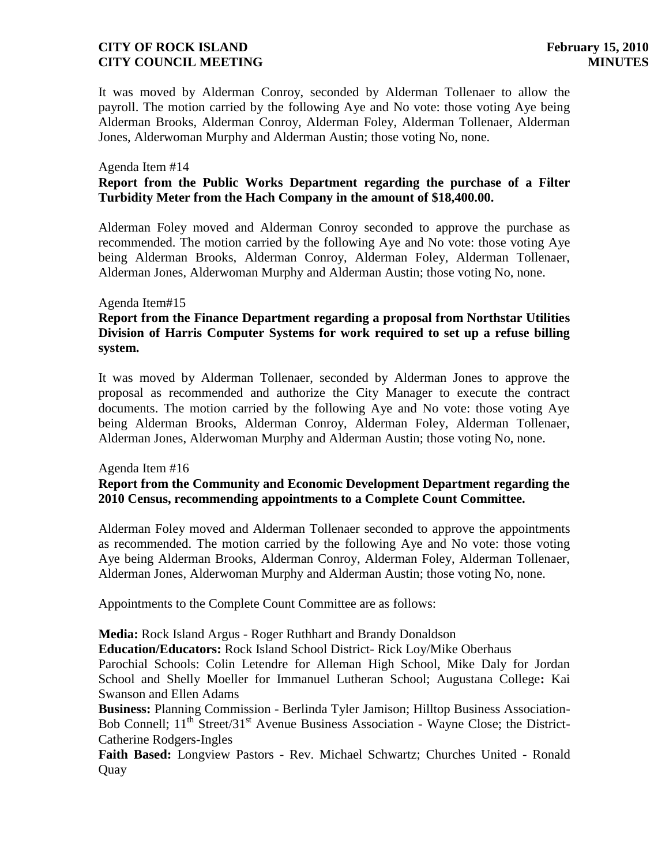It was moved by Alderman Conroy, seconded by Alderman Tollenaer to allow the payroll. The motion carried by the following Aye and No vote: those voting Aye being Alderman Brooks, Alderman Conroy, Alderman Foley, Alderman Tollenaer, Alderman Jones, Alderwoman Murphy and Alderman Austin; those voting No, none.

#### Agenda Item #14

# **Report from the Public Works Department regarding the purchase of a Filter Turbidity Meter from the Hach Company in the amount of \$18,400.00.**

Alderman Foley moved and Alderman Conroy seconded to approve the purchase as recommended. The motion carried by the following Aye and No vote: those voting Aye being Alderman Brooks, Alderman Conroy, Alderman Foley, Alderman Tollenaer, Alderman Jones, Alderwoman Murphy and Alderman Austin; those voting No, none.

#### Agenda Item#15

# **Report from the Finance Department regarding a proposal from Northstar Utilities Division of Harris Computer Systems for work required to set up a refuse billing system.**

It was moved by Alderman Tollenaer, seconded by Alderman Jones to approve the proposal as recommended and authorize the City Manager to execute the contract documents. The motion carried by the following Aye and No vote: those voting Aye being Alderman Brooks, Alderman Conroy, Alderman Foley, Alderman Tollenaer, Alderman Jones, Alderwoman Murphy and Alderman Austin; those voting No, none.

#### Agenda Item #16

# **Report from the Community and Economic Development Department regarding the 2010 Census, recommending appointments to a Complete Count Committee.**

Alderman Foley moved and Alderman Tollenaer seconded to approve the appointments as recommended. The motion carried by the following Aye and No vote: those voting Aye being Alderman Brooks, Alderman Conroy, Alderman Foley, Alderman Tollenaer, Alderman Jones, Alderwoman Murphy and Alderman Austin; those voting No, none.

Appointments to the Complete Count Committee are as follows:

**Media:** Rock Island Argus - Roger Ruthhart and Brandy Donaldson

**Education/Educators:** Rock Island School District- Rick Loy/Mike Oberhaus

Parochial Schools: Colin Letendre for Alleman High School, Mike Daly for Jordan School and Shelly Moeller for Immanuel Lutheran School; Augustana College**:** Kai Swanson and Ellen Adams

**Business:** Planning Commission - Berlinda Tyler Jamison; Hilltop Business Association-Bob Connell; 11<sup>th</sup> Street/31<sup>st</sup> Avenue Business Association - Wayne Close; the District-Catherine Rodgers-Ingles

**Faith Based:** Longview Pastors - Rev. Michael Schwartz; Churches United - Ronald Quay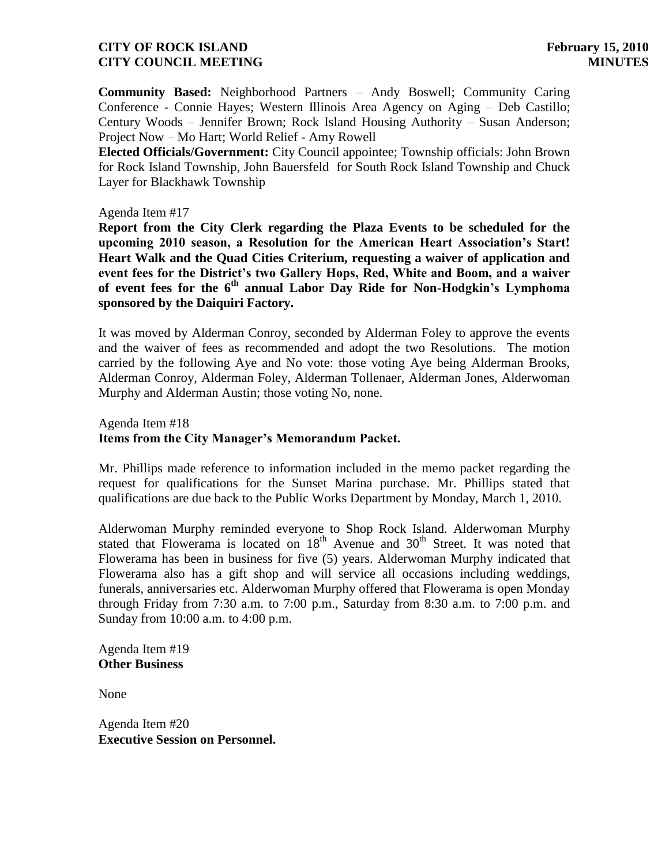**Community Based:** Neighborhood Partners – Andy Boswell; Community Caring Conference - Connie Hayes; Western Illinois Area Agency on Aging – Deb Castillo; Century Woods – Jennifer Brown; Rock Island Housing Authority – Susan Anderson; Project Now – Mo Hart; World Relief - Amy Rowell

**Elected Officials/Government:** City Council appointee; Township officials: John Brown for Rock Island Township, John Bauersfeld for South Rock Island Township and Chuck Layer for Blackhawk Township

#### Agenda Item #17

**Report from the City Clerk regarding the Plaza Events to be scheduled for the upcoming 2010 season, a Resolution for the American Heart Association's Start! Heart Walk and the Quad Cities Criterium, requesting a waiver of application and event fees for the District's two Gallery Hops, Red, White and Boom, and a waiver of event fees for the 6th annual Labor Day Ride for Non-Hodgkin's Lymphoma sponsored by the Daiquiri Factory.**

It was moved by Alderman Conroy, seconded by Alderman Foley to approve the events and the waiver of fees as recommended and adopt the two Resolutions. The motion carried by the following Aye and No vote: those voting Aye being Alderman Brooks, Alderman Conroy, Alderman Foley, Alderman Tollenaer, Alderman Jones, Alderwoman Murphy and Alderman Austin; those voting No, none.

Agenda Item #18 **Items from the City Manager's Memorandum Packet.**

Mr. Phillips made reference to information included in the memo packet regarding the request for qualifications for the Sunset Marina purchase. Mr. Phillips stated that qualifications are due back to the Public Works Department by Monday, March 1, 2010.

Alderwoman Murphy reminded everyone to Shop Rock Island. Alderwoman Murphy stated that Flowerama is located on  $18<sup>th</sup>$  Avenue and  $30<sup>th</sup>$  Street. It was noted that Flowerama has been in business for five (5) years. Alderwoman Murphy indicated that Flowerama also has a gift shop and will service all occasions including weddings, funerals, anniversaries etc. Alderwoman Murphy offered that Flowerama is open Monday through Friday from 7:30 a.m. to 7:00 p.m., Saturday from 8:30 a.m. to 7:00 p.m. and Sunday from 10:00 a.m. to 4:00 p.m.

Agenda Item #19 **Other Business**

None

Agenda Item #20 **Executive Session on Personnel.**